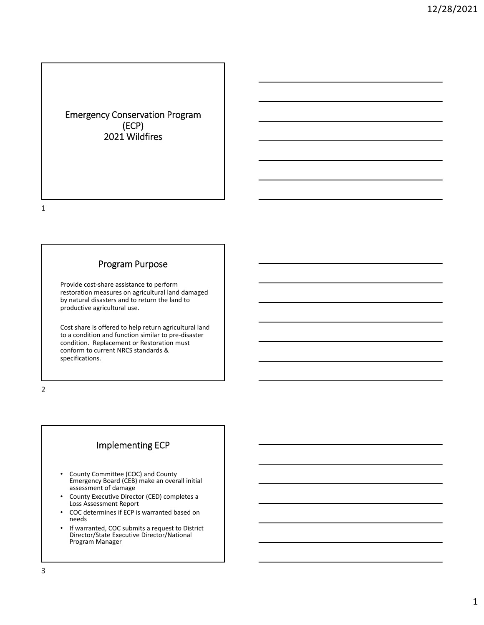## Emergency Conservation Program (ECP) 2021 Wildfires

1

#### Program Purpose

Provide cost‐share assistance to perform restoration measures on agricultural land damaged by natural disasters and to return the land to productive agricultural use.

Cost share is offered to help return agricultural land to a condition and function similar to pre‐disaster condition. Replacement or Restoration must conform to current NRCS standards & specifications.

2

## Implementing ECP

- County Committee (COC) and County Emergency Board (CEB) make an overall initial assessment of damage
- County Executive Director (CED) completes <sup>a</sup> Loss Assessment Report
- COC determines if ECP is warranted based on needs
- If warranted, COC submits a request to District Director/State Executive Director/National Program Manager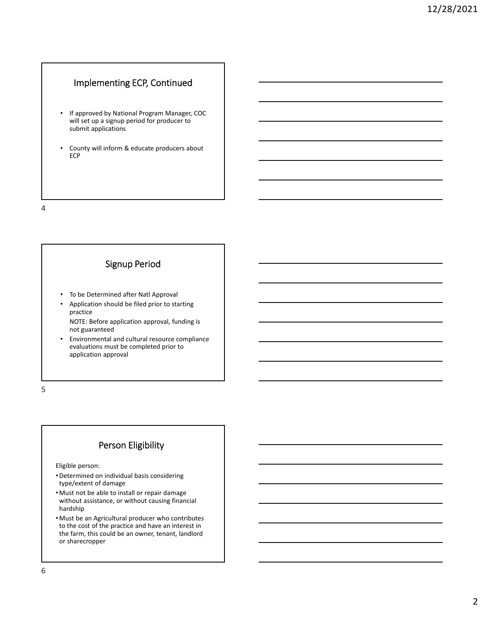### Implementing ECP, Continued

- If approved by National Program Manager, COC will set up a signup period for producer to submit applications
- County will inform & educate producers about ECP

4

#### Signup Period

- To be Determined after Natl Approval
- Application should be filed prior to starting practice

NOTE: Before application approval, funding is not guaranteed

• Environmental and cultural resource compliance evaluations must be completed prior to application approval

5

# Person Eligibility

Eligible person:

- •Determined on individual basis considering type/extent of damage
- •Must not be able to install or repair damage without assistance, or without causing financial hardship
- •Must be an Agricultural producer who contributes to the cost of the practice and have an interest in the farm, this could be an owner, tenant, landlord or sharecropper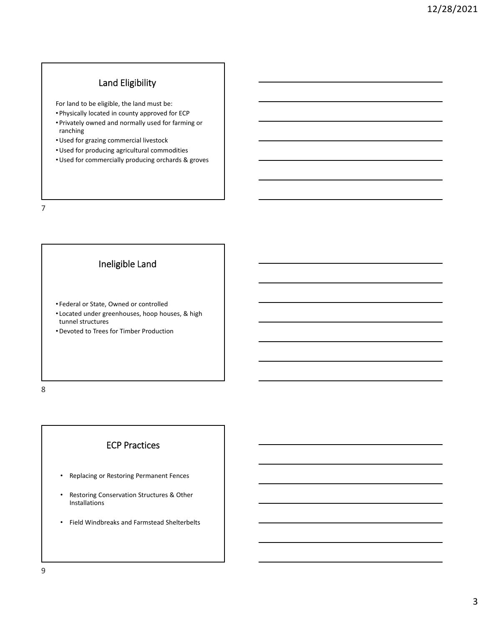# Land Eligibility

For land to be eligible, the land must be:

- Physically located in county approved for ECP
- Privately owned and normally used for farming or ranching
- •Used for grazing commercial livestock
- •Used for producing agricultural commodities
- •Used for commercially producing orchards & groves

7

## Ineligible Land

- Federal or State, Owned or controlled
- Located under greenhouses, hoop houses, & high tunnel structures
- •Devoted to Trees for Timber Production

8

## ECP Practices

- Replacing or Restoring Permanent Fences
- Restoring Conservation Structures & Other Installations
- Field Windbreaks and Farmstead Shelterbelts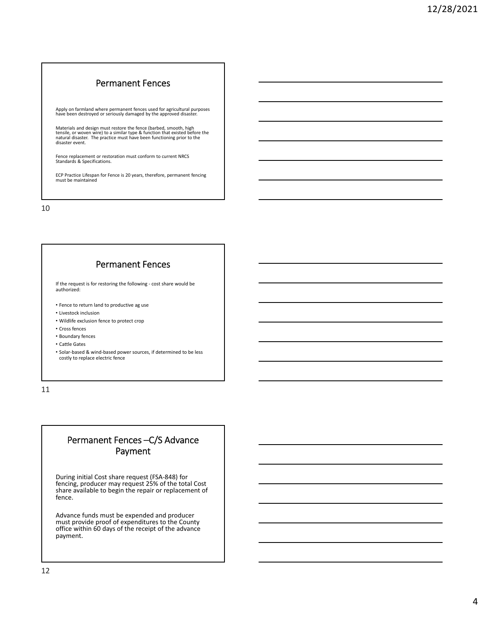#### Permanent Fences

Apply on farmland where permanent fences used for agricultural purposes have been destroyed or seriously damaged by the approved disaster.

Materials and design must restore the fence (barbed, smooth, high<br>tensile, or woven wire) to a similar type & function that existed before the<br>natural disaster. The practice must have been functioning prior to the<br>disaster

Fence replacement or restoration must conform to current NRCS Standards & Specifications.

ECP Practice Lifespan for Fence is <sup>20</sup> years, therefore, permanent fencing must be maintained

10

#### Permanent Fences

If the request is for restoring the following ‐ cost share would be authorized:

- Fence to return land to productive ag use
- Livestock inclusion
- Wildlife exclusion fence to protect crop
- Cross fences
- Boundary fences
- Cattle Gates

• Solar‐based & wind‐based power sources, if determined to be less costly to replace electric fence

11

## Permanent Fences –C/S Advance Payment

During initial Cost share request (FSA‐848) for fencing, producer may request 25% of the total Cost share available to begin the repair or replacement of fence.

Advance funds must be expended and producer must provide proof of expenditures to the County office within 60 days of the receipt of the advance payment.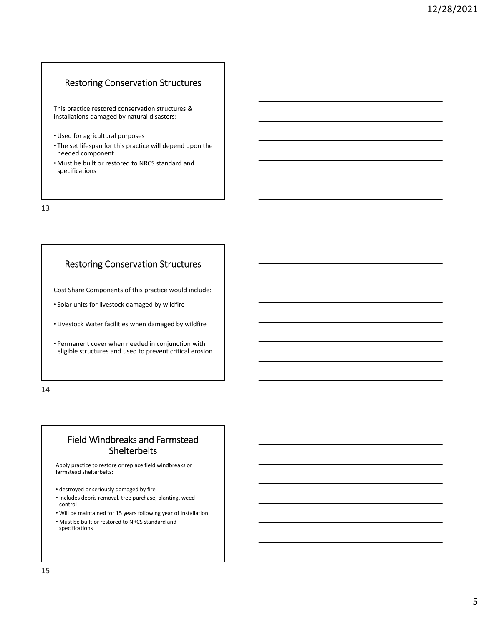#### Restoring Conservation Structures

This practice restored conservation structures & installations damaged by natural disasters:

- •Used for agricultural purposes
- The set lifespan for this practice will depend upon the needed component
- •Must be built or restored to NRCS standard and specifications

13

#### Restoring Conservation Structures

Cost Share Components of this practice would include:

• Solar units for livestock damaged by wildfire

• Livestock Water facilities when damaged by wildfire

• Permanent cover when needed in conjunction with eligible structures and used to prevent critical erosion

14

## Field Windbreaks and Farmstead Shelterbelts

Apply practice to restore or replace field windbreaks or farmstead shelterbelts:

- destroyed or seriously damaged by fire
- Includes debris removal, tree purchase, planting, weed control
- Will be maintained for 15 years following year of installation
- Must be built or restored to NRCS standard and specifications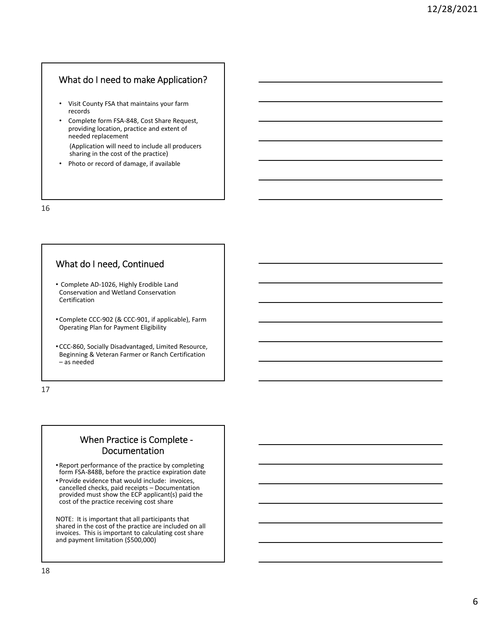### What do I need to make Application?

- Visit County FSA that maintains your farm records
- Complete form FSA‐848, Cost Share Request, providing location, practice and extent of needed replacement

(Application will need to include all producers sharing in the cost of the practice)

• Photo or record of damage, if available

16

# What do I need, Continued

- Complete AD‐1026, Highly Erodible Land Conservation and Wetland Conservation Certification
- Complete CCC‐902 (& CCC‐901, if applicable), Farm Operating Plan for Payment Eligibility
- CCC‐860, Socially Disadvantaged, Limited Resource, Beginning & Veteran Farmer or Ranch Certification – as needed

17

## When Practice is Complete ‐ Documentation

- Report performance of the practice by completing form FSA‐848B, before the practice expiration date
- Provide evidence that would include: invoices, cancelled checks, paid receipts – Documentation provided must show the ECP applicant(s) paid the cost of the practice receiving cost share

NOTE: It is important that all participants that shared in the cost of the practice are included on all invoices. This is important to calculating cost share and payment limitation (\$500,000)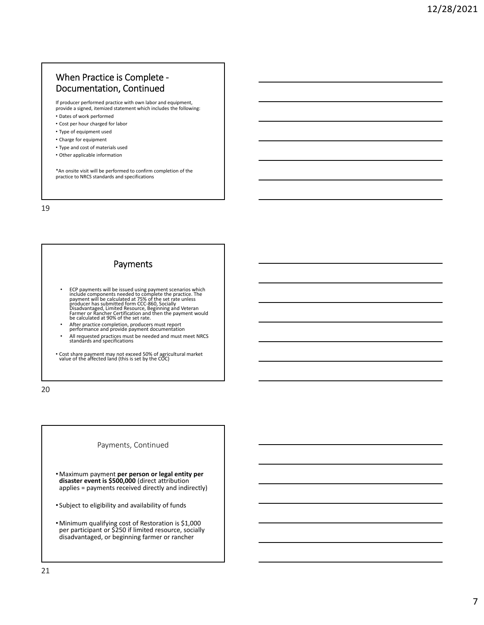## When Practice is Complete ‐ Documentation, Continued

If producer performed practice with own labor and equipment, provide a signed, itemized statement which includes the following: • Dates of work performed

- Cost per hour charged for labor
- Type of equipment used
- Charge for equipment
- Type and cost of materials used
- Other applicable information

\*An onsite visit will be performed to confirm completion of the practice to NRCS standards and specifications

19

## Payments

- ECP payments will be issued using payment scenarios which<br>include components needed to complete the practice. The<br>payment will be calculated at 75% of the set rate unless<br>producer has submitted form CCC-860, Socially<br>Dis
- After practice completion, producers must report performance and provide payment documentation
- All requested practices must be needed and must meet NRCS standards and specifications

• Cost share payment may not exceed 50% of agricultural market value of the affected land (this is set by the COC)

20

#### Payments, Continued

- •Maximum payment **per person or legal entity per disaster event is \$500,000** (direct attribution applies = payments received directly and indirectly)
- Subject to eligibility and availability of funds
- •Minimum qualifying cost of Restoration is \$1,000 per participant or \$250 if limited resource, socially disadvantaged, or beginning farmer or rancher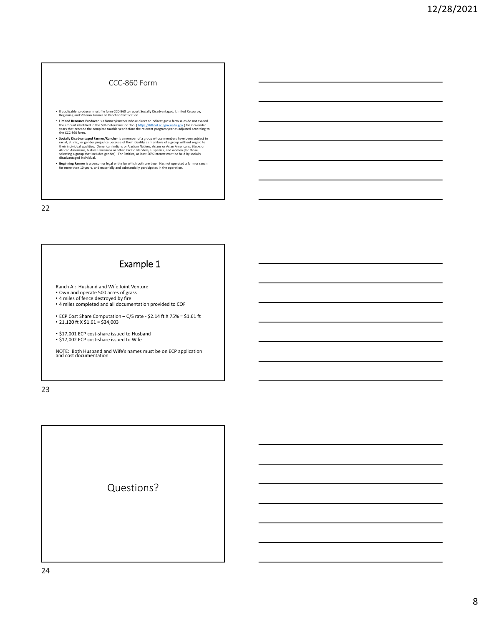#### CCC‐860 Form

- If applicable, producer must file form CCC‐860 to report Socially Disadvantaged, Limited Resource, Beginning and Veteran Farmer or Rancher Certification.
- Limited Resource Producter is a farmer/fancher whose direct or indirect gross farm sales do not exceed<br>the amount identified in the Self-Determination Tool (https://lriftool.sc.egov.usda.gov ) for 2 calendar<br>years that p
- Socially Disadvantaged Farmer/Rancher is a member of a group whose members have been subject to racial, ethnic, or gender prejudice because of their dentity as members of a group without regard to their individual qualitie
- **Beginning Farmer** is a person or legal entity for which both are true: Has not operated a farm or ranch for more than 10 years, and materially and substantially participates in the operation.

22

# Example 1

- Ranch A : Husband and Wife Joint Venture
- Own and operate 500 acres of grass 4 miles of fence destroyed by fire
- 4 miles completed and all documentation provided to COF

• ECP Cost Share Computation – C/S rate ‐ \$2.14 ft X 75% = \$1.61 ft • 21,120 ft X  $$1.61 = $34,003$ 

• \$17,001 ECP cost‐share issued to Husband • \$17,002 ECP cost‐share issued to Wife

NOTE: Both Husband and Wife's names must be on ECP application and cost documentation

23

Questions?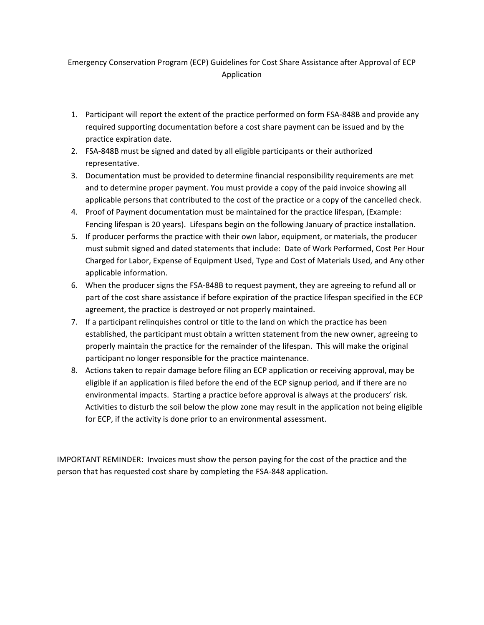## Emergency Conservation Program (ECP) Guidelines for Cost Share Assistance after Approval of ECP Application

- 1. Participant will report the extent of the practice performed on form FSA-848B and provide any required supporting documentation before a cost share payment can be issued and by the practice expiration date.
- 2. FSA-848B must be signed and dated by all eligible participants or their authorized representative.
- 3. Documentation must be provided to determine financial responsibility requirements are met and to determine proper payment. You must provide a copy of the paid invoice showing all applicable persons that contributed to the cost of the practice or a copy of the cancelled check.
- 4. Proof of Payment documentation must be maintained for the practice lifespan, (Example: Fencing lifespan is 20 years). Lifespans begin on the following January of practice installation.
- 5. If producer performs the practice with their own labor, equipment, or materials, the producer must submit signed and dated statements that include: Date of Work Performed, Cost Per Hour Charged for Labor, Expense of Equipment Used, Type and Cost of Materials Used, and Any other applicable information.
- 6. When the producer signs the FSA-848B to request payment, they are agreeing to refund all or part of the cost share assistance if before expiration of the practice lifespan specified in the ECP agreement, the practice is destroyed or not properly maintained.
- 7. If a participant relinquishes control or title to the land on which the practice has been established, the participant must obtain a written statement from the new owner, agreeing to properly maintain the practice for the remainder of the lifespan. This will make the original participant no longer responsible for the practice maintenance.
- 8. Actions taken to repair damage before filing an ECP application or receiving approval, may be eligible if an application is filed before the end of the ECP signup period, and if there are no environmental impacts. Starting a practice before approval is always at the producers' risk. Activities to disturb the soil below the plow zone may result in the application not being eligible for ECP, if the activity is done prior to an environmental assessment.

IMPORTANT REMINDER: Invoices must show the person paying for the cost of the practice and the person that has requested cost share by completing the FSA-848 application.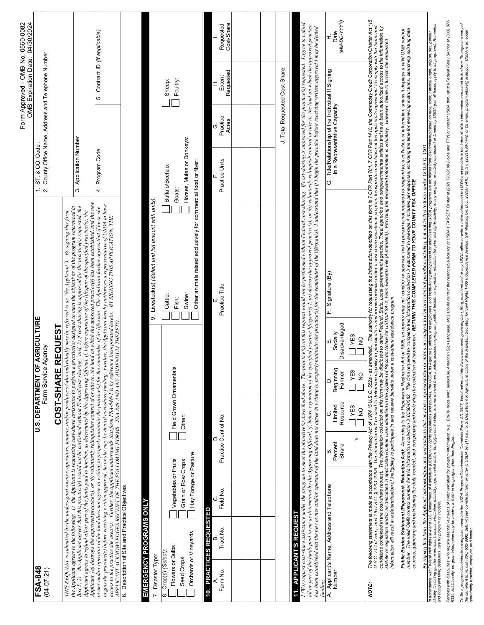|                                                                                                                                                      |                                                                     |                              |                                               |                                                       |                                                     |                                                                                                                                                                                                                                                                                                                                                                                                                                                                                                                                                                                                                                                                                                                                                                                                                              |                                                         |                                                                                 |                        | Form Approved - OMB No. 0560-0082<br>OMB Expiration Date: 04/30/2024 |                         |
|------------------------------------------------------------------------------------------------------------------------------------------------------|---------------------------------------------------------------------|------------------------------|-----------------------------------------------|-------------------------------------------------------|-----------------------------------------------------|------------------------------------------------------------------------------------------------------------------------------------------------------------------------------------------------------------------------------------------------------------------------------------------------------------------------------------------------------------------------------------------------------------------------------------------------------------------------------------------------------------------------------------------------------------------------------------------------------------------------------------------------------------------------------------------------------------------------------------------------------------------------------------------------------------------------------|---------------------------------------------------------|---------------------------------------------------------------------------------|------------------------|----------------------------------------------------------------------|-------------------------|
| FSA-848<br>$(04 - 07 - 21)$                                                                                                                          |                                                                     |                              | U.S. DEPARTMENT OF                            | Farm Service                                          | AGRICULTURE<br>Agency                               |                                                                                                                                                                                                                                                                                                                                                                                                                                                                                                                                                                                                                                                                                                                                                                                                                              | $\div$                                                  | ST. & CO. Code                                                                  |                        | 2. County Office Name, Address and Telephone Number                  |                         |
|                                                                                                                                                      |                                                                     |                              |                                               | COST-SHARE                                            | <b>REQUEST</b>                                      |                                                                                                                                                                                                                                                                                                                                                                                                                                                                                                                                                                                                                                                                                                                                                                                                                              |                                                         |                                                                                 |                        |                                                                      |                         |
| THIS REQUEST is submitted by the undersigned owners, operators, tenants, and/or producers (who indi-<br>$Box\ 5; 2)$                                 |                                                                     |                              |                                               |                                                       |                                                     | Applicant (a) destroys the approved practice(s), or (b) voluntarily relinquishes control of or title to, the land on which the approved practice(s) has been established, and the new<br>the Applicant agrees that this practice(s) would not be performed without Federal cost-sharing; and, 3) if cost-sharing is approved for the practice(s) requested, the<br>the Applicant agrees to the following:   J) the Applicant is requesting cost-share assistance to perform a practice(s) designed to meet the objectives of the program referenced in<br>By signing this form,<br>Applicant agrees to refund all or part of the funds paid to him/her, as determined by the Approving Official, if, before expiration of the lifespan of the specified practice(s), the<br>vidually may be referred to as "the Applicant"). |                                                         | 3. Application Number                                                           |                        |                                                                      |                         |
|                                                                                                                                                      |                                                                     |                              |                                               |                                                       |                                                     | begins the practice(s) before receiving written approval, he or she may be denied cost-share funding. Further, the Applicant hereby authorizes a representative of USDA to have<br>access to the practice site area(s). Further,<br>owner and/or operator of the land does not agree in writing to properly maintain the practice(s) for the remainder of its life span. The Applicant further agrees that if he or she                                                                                                                                                                                                                                                                                                                                                                                                      |                                                         | 4. Program Code                                                                 |                        | Contract ID (If applicable)<br>s.                                    |                         |
| 6. Description of Site and Practice Objectives<br>EMERGENCY PROGRAMS ONLY                                                                            |                                                                     |                              |                                               |                                                       |                                                     |                                                                                                                                                                                                                                                                                                                                                                                                                                                                                                                                                                                                                                                                                                                                                                                                                              |                                                         |                                                                                 |                        |                                                                      |                         |
| 7. Disaster Type:                                                                                                                                    |                                                                     |                              |                                               |                                                       |                                                     | 9. Livestock(s) (Select and list amount with units):                                                                                                                                                                                                                                                                                                                                                                                                                                                                                                                                                                                                                                                                                                                                                                         |                                                         |                                                                                 |                        |                                                                      |                         |
| Orchards or Vineyards<br>Flowers or Bulbs<br>Crop(s) (Select)<br>Seed Crops<br>ထဲ                                                                    | Hay Forage or Pasture<br>Vegetables or Fruits<br>Grain or Row Crops |                              | Field Grown Ornamentals<br>Other:             |                                                       |                                                     | Other animals raised exclusively for commercial food or fiber:<br>Swine:<br>Cattle:<br>Fish:                                                                                                                                                                                                                                                                                                                                                                                                                                                                                                                                                                                                                                                                                                                                 | Horses, Mules or Donkeys:<br>Buffalo/Beefalo:<br>Goats: |                                                                                 |                        | Poultry:<br>Sheep:                                                   |                         |
| <b>PRACTICES REQUESTED</b><br>10.                                                                                                                    |                                                                     |                              |                                               |                                                       |                                                     |                                                                                                                                                                                                                                                                                                                                                                                                                                                                                                                                                                                                                                                                                                                                                                                                                              |                                                         |                                                                                 |                        |                                                                      |                         |
| Tract No.<br>Farm No.                                                                                                                                | Field No                                                            | Practice Control No.<br>≏    |                                               |                                                       |                                                     | Practice Title                                                                                                                                                                                                                                                                                                                                                                                                                                                                                                                                                                                                                                                                                                                                                                                                               | Practice Units                                          |                                                                                 | Practice<br>Acres<br>Ġ | Requested<br>Extent<br>I                                             | Cost-Share<br>Requested |
|                                                                                                                                                      |                                                                     |                              |                                               |                                                       |                                                     |                                                                                                                                                                                                                                                                                                                                                                                                                                                                                                                                                                                                                                                                                                                                                                                                                              |                                                         |                                                                                 |                        |                                                                      |                         |
|                                                                                                                                                      |                                                                     |                              |                                               |                                                       |                                                     |                                                                                                                                                                                                                                                                                                                                                                                                                                                                                                                                                                                                                                                                                                                                                                                                                              |                                                         |                                                                                 |                        |                                                                      |                         |
|                                                                                                                                                      |                                                                     |                              |                                               |                                                       |                                                     |                                                                                                                                                                                                                                                                                                                                                                                                                                                                                                                                                                                                                                                                                                                                                                                                                              |                                                         |                                                                                 |                        |                                                                      |                         |
|                                                                                                                                                      |                                                                     |                              |                                               |                                                       |                                                     |                                                                                                                                                                                                                                                                                                                                                                                                                                                                                                                                                                                                                                                                                                                                                                                                                              |                                                         |                                                                                 |                        | J. Total Requested Cost-Share                                        |                         |
| has been established and the new owner and/or operator of the land does not agree in writing to properly<br><b>11. APPLICANT'S REQUEST</b><br>unding |                                                                     |                              |                                               |                                                       |                                                     | (We) request cost-share assistance under the program to meet the objective(s) data one. The practice(s) on this request would not be performed without Federal cost-sharing. if cost-sharing is approved for the practice(s) r<br>all or part of the funds paid to me as determined by the Approving Official, if, before expiration of the specified practice lifespan(s) 1, (a) destroy the approved practice(s), or (b) voluntarily relinquish control or tit<br>maintain the practice(s) for the remainder of the lifespan(s) . I understand that if I begin the practice before receiving written approval I may be denied                                                                                                                                                                                              |                                                         |                                                                                 |                        |                                                                      |                         |
| Applicant's Name, Address and Telephone<br>Number<br>∢                                                                                               |                                                                     | olo<br>Percent<br>Share<br>ń | Resource<br>Limited<br>I YES<br>$\frac{1}{2}$ | Beginning<br>YES<br>Farmer<br>$\frac{1}{2}$<br>.<br>ב | Disadvantaged<br>Socially<br>I YES<br>$\frac{1}{2}$ | F. Signature (By)                                                                                                                                                                                                                                                                                                                                                                                                                                                                                                                                                                                                                                                                                                                                                                                                            | ن<br>ف                                                  | Title/Relationship of the Individual If Signing<br>in a Representative Capacity |                        |                                                                      | (MM-DD-YYYY)<br>Date    |
| NOTE:                                                                                                                                                |                                                                     |                              |                                               |                                                       |                                                     | The authority for requesting the information identified on this form is 7 CFR Part 701, 7 CFR Part 1410, the Commodity Credit Corporation Charter Act (15<br>The following statement is made in accordance with the Phivacy Act of 1974 (5 U.S.C. 552a - as amended). The authonity for publish for exact and information and information charge with the Phivacy Act of 1974 (5 U.S.C. 552                                                                                                                                                                                                                                                                                                                                                                                                                                  |                                                         |                                                                                 |                        |                                                                      |                         |
|                                                                                                                                                      |                                                                     |                              |                                               |                                                       |                                                     | Public Burden Statement (Paperwork Reduction Act): According to the Paperwork Reduction 16:1995, an agency may not conduct or sponsor, and a person is not required to respond to, a collection of information unless it displ                                                                                                                                                                                                                                                                                                                                                                                                                                                                                                                                                                                               |                                                         |                                                                                 |                        |                                                                      |                         |
|                                                                                                                                                      |                                                                     |                              |                                               |                                                       |                                                     | in accordance with Federal Coll of the Disparance of Agriculture (USDA) of guargetives and engunies and institutions particularly provide productions and program and provided or marked on the collection and origin and prop<br>By signing this form, the Applicant acknowledges and understands that any false representation or claims are subject to civil and criminal penalies including, but not limited to those under 18 U.S.C. 1001.                                                                                                                                                                                                                                                                                                                                                                              |                                                         |                                                                                 |                        |                                                                      |                         |
|                                                                                                                                                      |                                                                     |                              |                                               |                                                       |                                                     | Persons with disablike state manical of communication for program information (e.g., Braille, large print, audiotape, American Sign Language, etc.), should contact the responsible Agency or USDA 1710.020 (voice and TTY) or                                                                                                                                                                                                                                                                                                                                                                                                                                                                                                                                                                                               |                                                         |                                                                                 |                        |                                                                      |                         |
|                                                                                                                                                      |                                                                     |                              |                                               |                                                       |                                                     | To file a pogan nistencomplet the USDA Pogran Discrimination Complaint U.S. Dependent Mind. As a state of the Mind Complete the Discrimination Complete the USDA some Mind Mind of Discrimination of the Mind Mind Mind Mind M                                                                                                                                                                                                                                                                                                                                                                                                                                                                                                                                                                                               |                                                         |                                                                                 |                        |                                                                      |                         |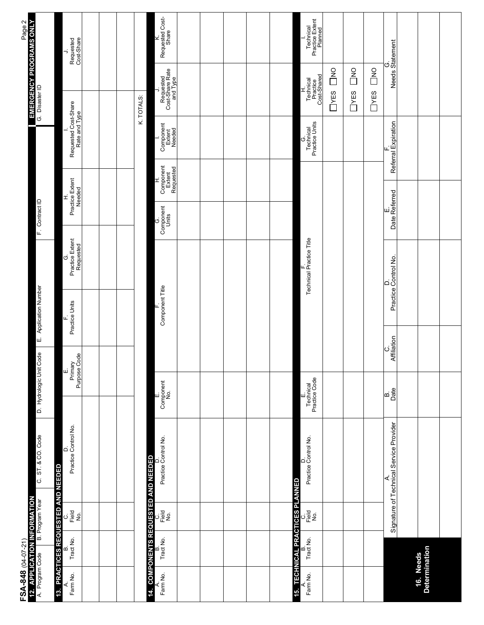| FSA-848 (04-07-21)         | 12. APPLICATION INFORMATION<br>A. Program Code B. Program Year<br>B. Program Year | C. ST. & CO. Code                            | D. Hydrologic Unit Code    | <b>Application Number</b><br>шi |                              | F. Contract ID                  |                                        | G. Disaster ID                        | Page 2<br>EMERGENCY PROGRAMS ONLY<br>a Discreency Programs ONLY |                                         |
|----------------------------|-----------------------------------------------------------------------------------|----------------------------------------------|----------------------------|---------------------------------|------------------------------|---------------------------------|----------------------------------------|---------------------------------------|-----------------------------------------------------------------|-----------------------------------------|
| ø                          | 13. PRACTICES REQUESTED AND NEEDED                                                |                                              | шi                         | щ,                              | Ġ                            | I.                              |                                        |                                       |                                                                 | ⇒                                       |
|                            | $\frac{1}{2}$<br>Tract No.                                                        | D.<br>Practice Control No.                   | Primary<br>Purpose Code    | Practice Units                  | Practice Extent<br>Requested | Practice Extent<br>Needed       |                                        | Requested Cost-Share<br>Rate and Type |                                                                 | Requested<br>Cost-Share                 |
|                            |                                                                                   |                                              |                            |                                 |                              |                                 |                                        |                                       |                                                                 |                                         |
|                            |                                                                                   |                                              |                            |                                 |                              |                                 |                                        |                                       |                                                                 |                                         |
|                            | 14. COMPONENTS REQUESTED AND NEEDED                                               |                                              |                            |                                 |                              |                                 |                                        | K. TOTALS:                            |                                                                 |                                         |
|                            | ပဲ <u>ခ</u> ်ို့ <u>ခို</u><br>Tract No.                                          | Practice Control No.                         | E.<br>Component<br>No.     | Component Title                 |                              | Component<br>Component<br>Units | Component<br>Extent<br>Requested<br>Ξ, | Component<br>Extent<br>Needed         | Requested<br>Cost-Share Rate<br>and Type<br>∍                   | Requested Cost-<br>Share<br>₹.          |
|                            |                                                                                   |                                              |                            |                                 |                              |                                 |                                        |                                       |                                                                 |                                         |
|                            |                                                                                   |                                              |                            |                                 |                              |                                 |                                        |                                       |                                                                 |                                         |
|                            |                                                                                   |                                              |                            |                                 |                              |                                 |                                        |                                       |                                                                 |                                         |
|                            |                                                                                   |                                              |                            |                                 |                              |                                 |                                        |                                       |                                                                 |                                         |
|                            |                                                                                   |                                              |                            |                                 |                              |                                 |                                        |                                       |                                                                 |                                         |
|                            | <b>TECHNICAL PRACTICES PLANNED</b><br>ပ <u>ုံခ</u> ြို့ ခွဲ<br>Tract No.          | Practice Control No.<br>۵                    | Technical<br>Practice Code |                                 | Technical Practice Title     |                                 |                                        | Technical<br>Practice Units<br>Ġ      | Technical<br>Practice<br>Cost-Shared<br>ェ                       | Technical<br>Practice Extent<br>Planned |
|                            |                                                                                   |                                              |                            |                                 |                              |                                 |                                        | $\square$                             | $\overline{\square}$                                            |                                         |
|                            |                                                                                   |                                              |                            |                                 |                              |                                 |                                        | T <sub>YES</sub>                      | $\begin{array}{c}\n0 \\ 0 \\ 0\n\end{array}$                    |                                         |
|                            |                                                                                   |                                              |                            |                                 |                              |                                 |                                        | $\square$ $\times$ ES                 | $\overline{\square}^{\text{NO}}$                                |                                         |
|                            |                                                                                   | Signature of Technical Service Provider<br>∢ | apd<br>Date                | Affiliation<br>ပ                | D.<br>Practice Control No.   | Date Referred                   | Referral Expiration                    |                                       | G.<br>Needs Statement                                           |                                         |
|                            |                                                                                   |                                              |                            |                                 |                              |                                 |                                        |                                       |                                                                 |                                         |
| 16. Needs<br>Determination |                                                                                   |                                              |                            |                                 |                              |                                 |                                        |                                       |                                                                 |                                         |
|                            |                                                                                   |                                              |                            |                                 |                              |                                 |                                        |                                       |                                                                 |                                         |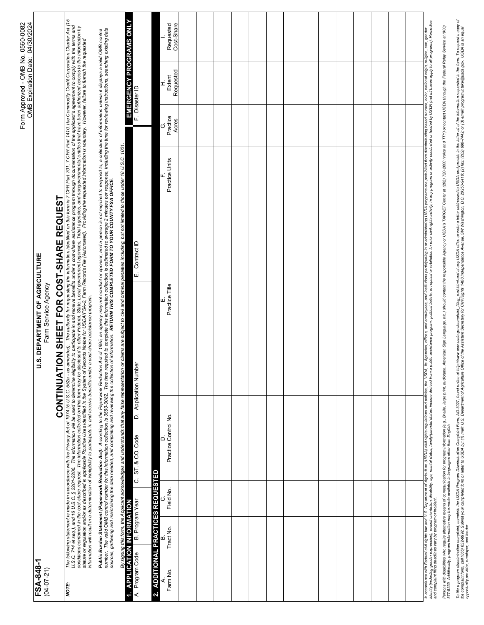| FSA-848-1<br>$(04 - 07 - 21)$                               |                 |           |                      |           | S. DEPARTMENT OF AGRICULTURE<br>Farm Service Agency<br>っ                                                                                                                                                                                                                                                                                                                                                                                                        |                              |                                                                                 |                   | <b>OMB Expiration Date:</b> | 04/30/2024              |
|-------------------------------------------------------------|-----------------|-----------|----------------------|-----------|-----------------------------------------------------------------------------------------------------------------------------------------------------------------------------------------------------------------------------------------------------------------------------------------------------------------------------------------------------------------------------------------------------------------------------------------------------------------|------------------------------|---------------------------------------------------------------------------------|-------------------|-----------------------------|-------------------------|
|                                                             |                 |           |                      | CONTINUAT | SHEET FOR<br>$\overline{6}$                                                                                                                                                                                                                                                                                                                                                                                                                                     | <b>REQUEST</b><br>COST-SHARE |                                                                                 |                   |                             |                         |
| NOTE:                                                       |                 |           |                      |           | The following statement's made in accordance with the Privacy Act of 1974 (5 U.S.C. 552a - as amended). The authority for equality of evaluative on the Conflix of The Party of the Conflix Credit Conceptor Charter Act (<br>U.S                                                                                                                                                                                                                               |                              | CFR Part 701, 7 CFR Part 1410, the Commodity Credit Corporation Charter Act (15 |                   |                             |                         |
|                                                             |                 |           |                      |           | Public Burden Statement (Paperwork Reduction Act): According to the Paperwork Reduction Act of 1995, an agency may not conduct or sponsor, and a person is not required to respond to, a collection of information unless it d                                                                                                                                                                                                                                  |                              |                                                                                 |                   |                             |                         |
| <b>APPLICATION INFORMATION</b><br>₫<br>4.                   |                 |           |                      |           | signing this form, the Applicant acknowledges and understands that any false representation or claims are subject to civil and criminal penalties including, but not limited to those under 18 U.S.C. 1001.                                                                                                                                                                                                                                                     |                              |                                                                                 |                   | EMERGENCY PROGRAMS ONLY     |                         |
| A. Program Code                                             | B. Program Year |           | C. ST. & CO. Code    |           | D. Application Number                                                                                                                                                                                                                                                                                                                                                                                                                                           | E. Contract ID               |                                                                                 | F. Disaster ID    |                             |                         |
| 2. ADDITIONAL PRACTICES REQUESTED                           |                 |           | ≏                    |           |                                                                                                                                                                                                                                                                                                                                                                                                                                                                 |                              |                                                                                 | ق                 | I                           |                         |
| Farm No.                                                    | Tract No.       | Field No. | Practice Control No. |           | Practice Title                                                                                                                                                                                                                                                                                                                                                                                                                                                  |                              | Practice Units                                                                  | Practice<br>Acres | Requested<br>Extent         | Cost-Share<br>Requested |
|                                                             |                 |           |                      |           |                                                                                                                                                                                                                                                                                                                                                                                                                                                                 |                              |                                                                                 |                   |                             |                         |
|                                                             |                 |           |                      |           |                                                                                                                                                                                                                                                                                                                                                                                                                                                                 |                              |                                                                                 |                   |                             |                         |
|                                                             |                 |           |                      |           |                                                                                                                                                                                                                                                                                                                                                                                                                                                                 |                              |                                                                                 |                   |                             |                         |
|                                                             |                 |           |                      |           |                                                                                                                                                                                                                                                                                                                                                                                                                                                                 |                              |                                                                                 |                   |                             |                         |
|                                                             |                 |           |                      |           |                                                                                                                                                                                                                                                                                                                                                                                                                                                                 |                              |                                                                                 |                   |                             |                         |
|                                                             |                 |           |                      |           |                                                                                                                                                                                                                                                                                                                                                                                                                                                                 |                              |                                                                                 |                   |                             |                         |
|                                                             |                 |           |                      |           |                                                                                                                                                                                                                                                                                                                                                                                                                                                                 |                              |                                                                                 |                   |                             |                         |
|                                                             |                 |           |                      |           |                                                                                                                                                                                                                                                                                                                                                                                                                                                                 |                              |                                                                                 |                   |                             |                         |
|                                                             |                 |           |                      |           |                                                                                                                                                                                                                                                                                                                                                                                                                                                                 |                              |                                                                                 |                   |                             |                         |
|                                                             |                 |           |                      |           |                                                                                                                                                                                                                                                                                                                                                                                                                                                                 |                              |                                                                                 |                   |                             |                         |
|                                                             |                 |           |                      |           |                                                                                                                                                                                                                                                                                                                                                                                                                                                                 |                              |                                                                                 |                   |                             |                         |
|                                                             |                 |           |                      |           |                                                                                                                                                                                                                                                                                                                                                                                                                                                                 |                              |                                                                                 |                   |                             |                         |
|                                                             |                 |           |                      |           |                                                                                                                                                                                                                                                                                                                                                                                                                                                                 |                              |                                                                                 |                   |                             |                         |
|                                                             |                 |           |                      |           |                                                                                                                                                                                                                                                                                                                                                                                                                                                                 |                              |                                                                                 |                   |                             |                         |
| and complaint filing deadlines vary by program or incident. |                 |           |                      |           | In accordance with Federal coll of the Individual CDA product of the USDA, its Agencies, Some Compact and amployees, and amployees, and institutions particles in or administing USDA programs are promibled for nate to port<br>Persons with disablikes with allerance of communication for program information (e.g., Braille, large print, audiotage, American Sign Language, etc.) should contact the responsible Agency or USDA's TARGET Center all 202) 7 |                              |                                                                                 |                   |                             |                         |

To fie a program hation completin ( complete the USOA Program Discriment Discussions). Youthout the complete field of the complet of the USOA Program Discomment of the Discope of Discoperation of Appletion To request a cop To file a program complete the USDA Program Discrimination Complator Complant , AD-3027, found colline at Mttp://www.ascr.usda.gov/complant\_filing\_cust.html and at any USDA office or write a letter-addessed to USDA and pro the complant form; completed form or letter to USDA by; (1) mail: U.S. Department of Apriculture Office of the Assistant Secretary for Civil Rights 1401 (000 nues pride ance of the 1400 independence and D.C. 2020-001; (2)

*opportunity provider, employer, and lender.*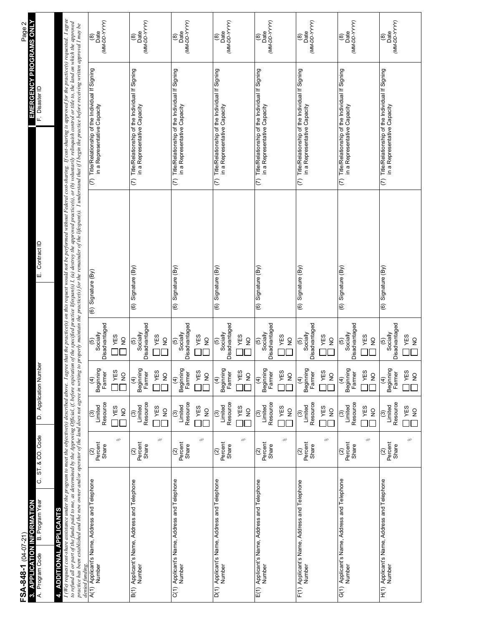| EMERGENCY PROGRAMS ONLY<br>$\mathbf{\Omega}$<br>Page:                                                                     |                                                                                                                                                                                                                                                                                                                                                                                                                                                                                                                                                                | $(MM-DD-YYY)$<br>Date<br>$\widehat{\mathbf{e}}$                                                                                                                                                               | (MM-DD-YYYY)<br>Date<br>$\circledast$                                                                                                                                                                | $\begin{bmatrix} (8) \\ \text{Date} \\ (MM-DD-YNY) \end{bmatrix}$                                                                                                                                 | Date<br>(MM-DD-YYYY)<br>⊚                                                                                                                                                                               | $(MM-DD-YYYY)$<br>Date<br>ම                                                                                                                                                                                           | Date<br>(MM-DD-YYYY)<br>ම                                                                                                                                                                                                               | Date<br>(MM-DD-YYYY)<br>$\widehat{\mathbf{e}}$                                                                                                                                                            | Date<br>(MM-DD-YYYY)<br>ම                                                                                                                                                                                          |
|---------------------------------------------------------------------------------------------------------------------------|----------------------------------------------------------------------------------------------------------------------------------------------------------------------------------------------------------------------------------------------------------------------------------------------------------------------------------------------------------------------------------------------------------------------------------------------------------------------------------------------------------------------------------------------------------------|---------------------------------------------------------------------------------------------------------------------------------------------------------------------------------------------------------------|------------------------------------------------------------------------------------------------------------------------------------------------------------------------------------------------------|---------------------------------------------------------------------------------------------------------------------------------------------------------------------------------------------------|---------------------------------------------------------------------------------------------------------------------------------------------------------------------------------------------------------|-----------------------------------------------------------------------------------------------------------------------------------------------------------------------------------------------------------------------|-----------------------------------------------------------------------------------------------------------------------------------------------------------------------------------------------------------------------------------------|-----------------------------------------------------------------------------------------------------------------------------------------------------------------------------------------------------------|--------------------------------------------------------------------------------------------------------------------------------------------------------------------------------------------------------------------|
| F. Disaster ID                                                                                                            |                                                                                                                                                                                                                                                                                                                                                                                                                                                                                                                                                                | (7) Title/Relationship of the Individual If Signing<br>in a Representative Capacity                                                                                                                           | Title/Relationship of the Individual If Signing<br>in a Representative Capacity<br>$\overline{C}$                                                                                                    | Title/Relationship of the Individual If Signing<br>in a Representative Capacity<br>$\widehat{c}$                                                                                                  | Title/Relationship of the Individual If Signing<br>in a Representative Capacity<br>$\widehat{\in}$                                                                                                      | (7) Title/Relationship of the Individual If Signing<br>in a Representative Capacity                                                                                                                                   | (7) Title/Relationship of the Individual If Signing<br>in a Representative Capacity                                                                                                                                                     | (7) Title/Relationship of the Individual If Signing<br>in a Representative Capacity                                                                                                                       | (7) Title/Relationship of the Individual If Signing<br>in a Representative Capacity                                                                                                                                |
| Contract ID<br>шi                                                                                                         | that the practice(s) on this request would not be performed without Federal cost-sharing. If cost-sharing is approved for the practice(s) requested. I agree<br>to refund all or part of the funds paid to me, as determined by the Approving Official, if, before expiration of the specified practice lifespan(s) I, (a) destroy the approved practice(s), or (b) voluntarily relinquish con<br>properly maintain the practice(s) for the remainder of the lifespan(s). I understand that if I begin the practice before receiving written approval I may be | (6) Signature (By)                                                                                                                                                                                            | Signature (By)<br>$\widehat{6}$                                                                                                                                                                      | (6) Signature (By)                                                                                                                                                                                | (6) Signature (By)                                                                                                                                                                                      | $(6)$ Signature $(By)$                                                                                                                                                                                                | (6) Signature (By)                                                                                                                                                                                                                      | (6) Signature (By)                                                                                                                                                                                        | Signature (By)<br>$\widehat{\mathbf{e}}$                                                                                                                                                                           |
| D. Application Number                                                                                                     |                                                                                                                                                                                                                                                                                                                                                                                                                                                                                                                                                                | Disadvantaged<br>Socially<br>YES<br>$\frac{1}{2}$<br>$\widehat{5}$<br>Beginning<br>YES<br>Farmer<br>$\overline{2}$<br>$\widehat{4}$<br>Resource<br>Limited<br>YES<br>$\frac{1}{2}$<br>$\widehat{\mathcal{C}}$ | Disadvantaged<br>Socially<br>YES<br>$\frac{1}{2}$<br>$\widehat{\mathfrak{G}}$<br>Beginning<br>YES<br>Farmer<br>$\overline{2}$<br>$\widehat{E}$<br>Resource<br>Limited<br>I YES<br>$\frac{1}{2}$<br>ම | Disadvantaged<br>Socially<br>YES<br>$\overline{2}$<br>$\widehat{5}$<br>Beginning<br>Farmer<br>YES<br>$\frac{1}{2}$<br>$\widehat{f}$<br>Resource<br>$\frac{(3)}{2}$<br><b>YES</b><br>$\frac{1}{2}$ | Disadvantaged<br>Socially<br>YES<br>$\frac{1}{2}$<br>$\widehat{5}$<br>Beginning<br>YES<br>Farmer<br>$\frac{1}{2}$<br>$\hat{t}$<br>Resource<br>Limited<br>YES<br>$\frac{1}{2}$<br>$\widehat{\mathbf{e}}$ | Disadvantaged<br>Socially<br>YES<br>$\frac{1}{2}$<br>$\widehat{5}$<br>Beginning<br>YES<br>Farmer<br>$\overline{2}$<br>$\widehat{t}$<br>Resource<br>Limited<br><b>TYES</b><br>$\frac{1}{2}$<br>$\widehat{\mathcal{C}}$ | Socially<br>Disadvantaged<br>YES<br>$\frac{1}{2}$<br>$\widetilde{\Theta}$<br>Beginning<br>Farmer<br><b>T</b><br>YES<br>$\overline{2}$<br>$\widehat{A}$<br>Resource<br>Limited<br><b>YES</b><br>$\frac{1}{2}$<br>$\widehat{\mathcal{E}}$ | Disadvantaged<br>Socially<br>YES<br>$\mathsf{S}$<br>$\widehat{e}$<br>Beginning<br>YES<br>Farmer<br>$\frac{1}{2}$<br>$\widehat{f}$<br>Resource<br>Limited<br>YES<br>$rac{Q}{Z}$<br>$\widehat{\mathcal{E}}$ | Disadvantaged<br>Socially<br>YES<br>$\overline{2}$<br>$\widehat{\mathfrak{G}}$<br>Beginning<br>I YES<br>Farmer<br>$\frac{1}{2}$<br>E)<br>Resource<br>Limited<br>I YES<br>$\frac{1}{2}$<br>$\widehat{\mathfrak{G}}$ |
| ST.&CO.Code                                                                                                               |                                                                                                                                                                                                                                                                                                                                                                                                                                                                                                                                                                | olo<br>Percent<br>Share<br>$\widehat{\alpha}$                                                                                                                                                                 | olo<br>Percent<br>Share<br>$\widehat{\infty}$                                                                                                                                                        | olo<br>Percent<br>Share<br>$\widehat{\alpha}$                                                                                                                                                     | olo<br>Percent<br>Share<br>$\widehat{\alpha}$                                                                                                                                                           | $\sqrt{6}$<br>Percent<br>Share<br>$\widehat{\alpha}$                                                                                                                                                                  | olo<br>Percent<br>Share<br>$\widehat{\alpha}$                                                                                                                                                                                           | $\sqrt{6}$<br>Percent<br>Share<br>$\widehat{\alpha}$                                                                                                                                                      | $\sqrt{6}$<br>Percent<br>Share<br>$\widehat{\alpha}$                                                                                                                                                               |
| ن<br>B. Program Year<br>3. APPLICATION INFORMATION<br>4. ADDITIONAL APPLICANTS<br>FSA-848-1 (04-07-21)<br>A. Program Code | I (We) request cost-share assistance under the program to meet the objective(s) described above. I agree<br>practice has been established and the new owner and/or operator of the land does not agree in writing to<br>denied funding.                                                                                                                                                                                                                                                                                                                        | A(1) Applicant's Name, Address and Telephone<br>Number                                                                                                                                                        | Applicant's Name, Address and Telephone<br>Number                                                                                                                                                    | Applicant's Name, Address and Telephone<br>Number                                                                                                                                                 | Applicant's Name, Address and Telephone<br>Number                                                                                                                                                       | E(1) Applicant's Name, Address and Telephone<br>Number                                                                                                                                                                | F(1) Applicant's Name, Address and Telephone<br>Particle of the Mame, Address and Telephone                                                                                                                                             | G(1) Applicant's Name, Address and Telephone<br>Number                                                                                                                                                    | H(1) Applicant's Name, Address and Telephone<br>Number                                                                                                                                                             |